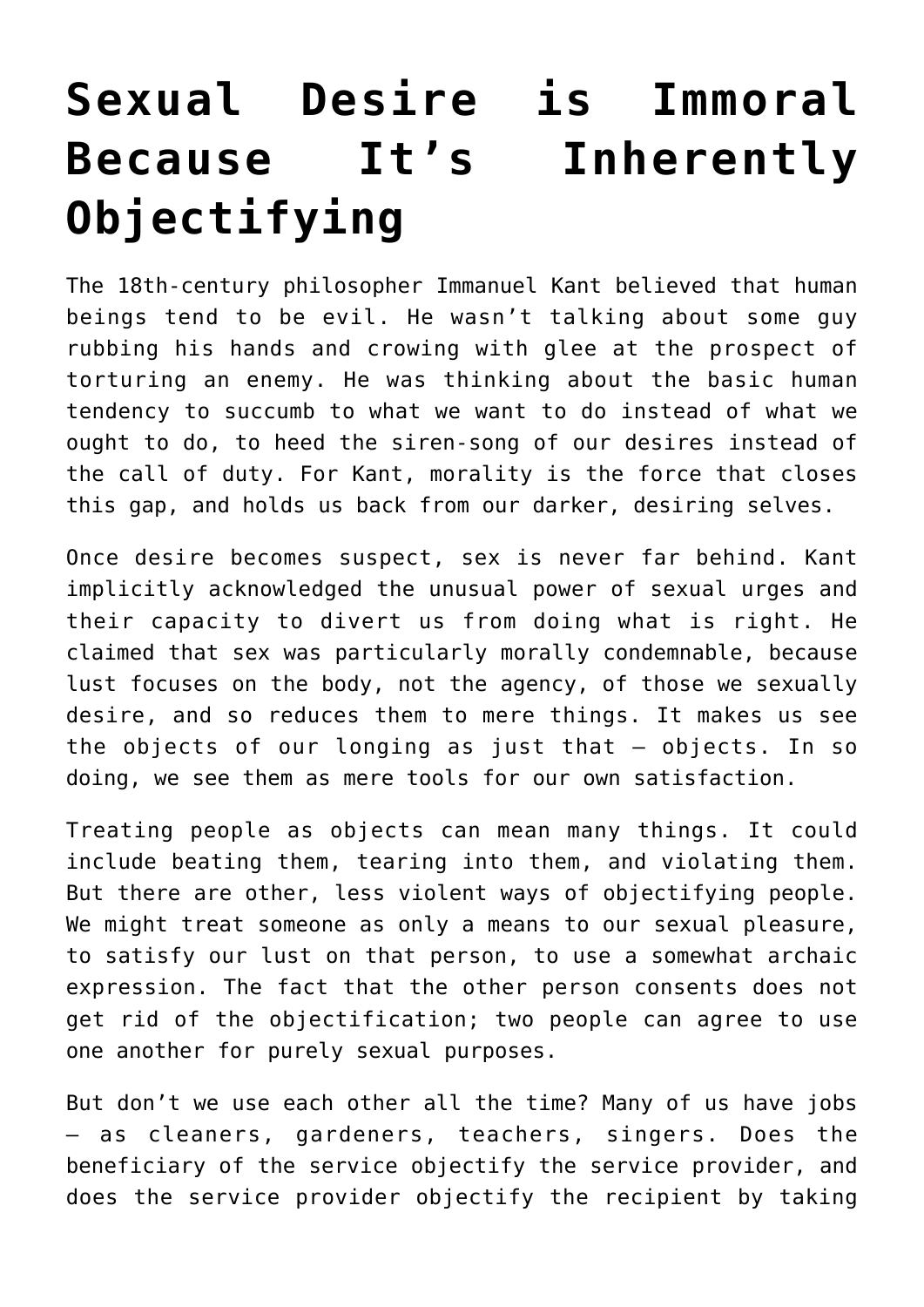## **[Sexual Desire is Immoral](https://intellectualtakeout.org/2016/12/sexual-desire-is-immoral-because-its-inherently-objectifying/) [Because It's Inherently](https://intellectualtakeout.org/2016/12/sexual-desire-is-immoral-because-its-inherently-objectifying/) [Objectifying](https://intellectualtakeout.org/2016/12/sexual-desire-is-immoral-because-its-inherently-objectifying/)**

The 18th-century philosopher Immanuel Kant believed that human beings tend to be evil. He wasn't talking about some guy rubbing his hands and crowing with glee at the prospect of torturing an enemy. He was thinking about the basic human tendency to succumb to what we want to do instead of what we ought to do, to heed the siren-song of our desires instead of the call of duty. For Kant, morality is the force that closes this gap, and holds us back from our darker, desiring selves.

Once desire becomes suspect, sex is never far behind. Kant implicitly acknowledged the unusual power of sexual urges and their capacity to divert us from doing what is right. He claimed that sex was particularly morally condemnable, because lust focuses on the body, not the agency, of those we sexually desire, and so reduces them to mere things. It makes us see the objects of our longing as just that – objects. In so doing, we see them as mere tools for our own satisfaction.

Treating people as objects can mean many things. It could include beating them, tearing into them, and violating them. But there are other, less violent ways of objectifying people. We might treat someone as only a means to our sexual pleasure, to satisfy our lust on that person, to use a somewhat archaic expression. The fact that the other person consents does not get rid of the objectification; two people can agree to use one another for purely sexual purposes.

But don't we use each other all the time? Many of us have jobs – as cleaners, gardeners, teachers, singers. Does the beneficiary of the service objectify the service provider, and does the service provider objectify the recipient by taking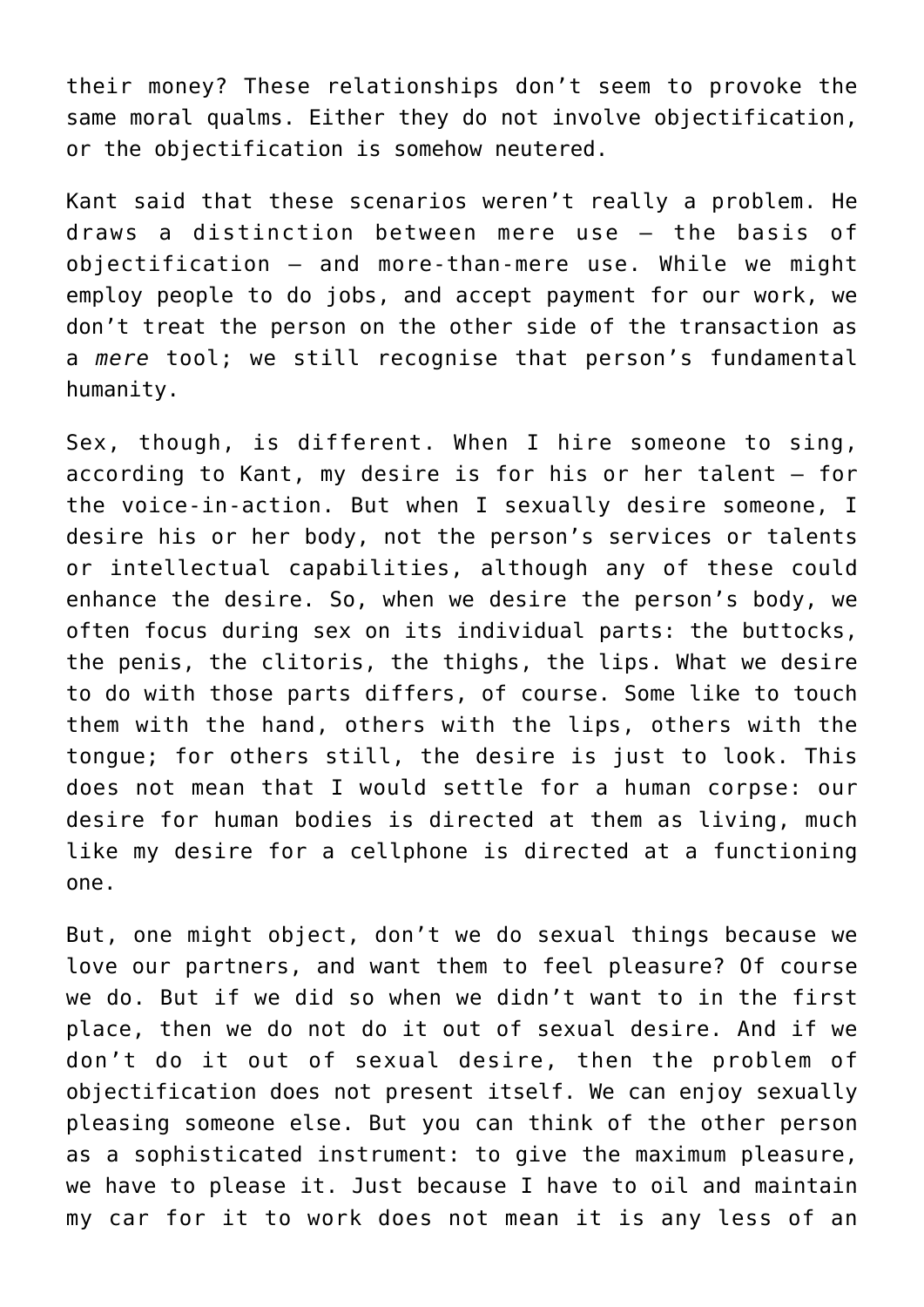their money? These relationships don't seem to provoke the same moral qualms. Either they do not involve objectification, or the objectification is somehow neutered.

Kant said that these scenarios weren't really a problem. He draws a distinction between mere use – the basis of objectification – and more-than-mere use. While we might employ people to do jobs, and accept payment for our work, we don't treat the person on the other side of the transaction as a *mere* tool; we still recognise that person's fundamental humanity.

Sex, though, is different. When I hire someone to sing, according to Kant, my desire is for his or her talent – for the voice-in-action. But when I sexually desire someone, I desire his or her body, not the person's services or talents or intellectual capabilities, although any of these could enhance the desire. So, when we desire the person's body, we often focus during sex on its individual parts: the buttocks, the penis, the clitoris, the thighs, the lips. What we desire to do with those parts differs, of course. Some like to touch them with the hand, others with the lips, others with the tongue; for others still, the desire is just to look. This does not mean that I would settle for a human corpse: our desire for human bodies is directed at them as living, much like my desire for a cellphone is directed at a functioning one.

But, one might object, don't we do sexual things because we love our partners, and want them to feel pleasure? Of course we do. But if we did so when we didn't want to in the first place, then we do not do it out of sexual desire. And if we don't do it out of sexual desire, then the problem of objectification does not present itself. We can enjoy sexually pleasing someone else. But you can think of the other person as a sophisticated instrument: to give the maximum pleasure, we have to please it. Just because I have to oil and maintain my car for it to work does not mean it is any less of an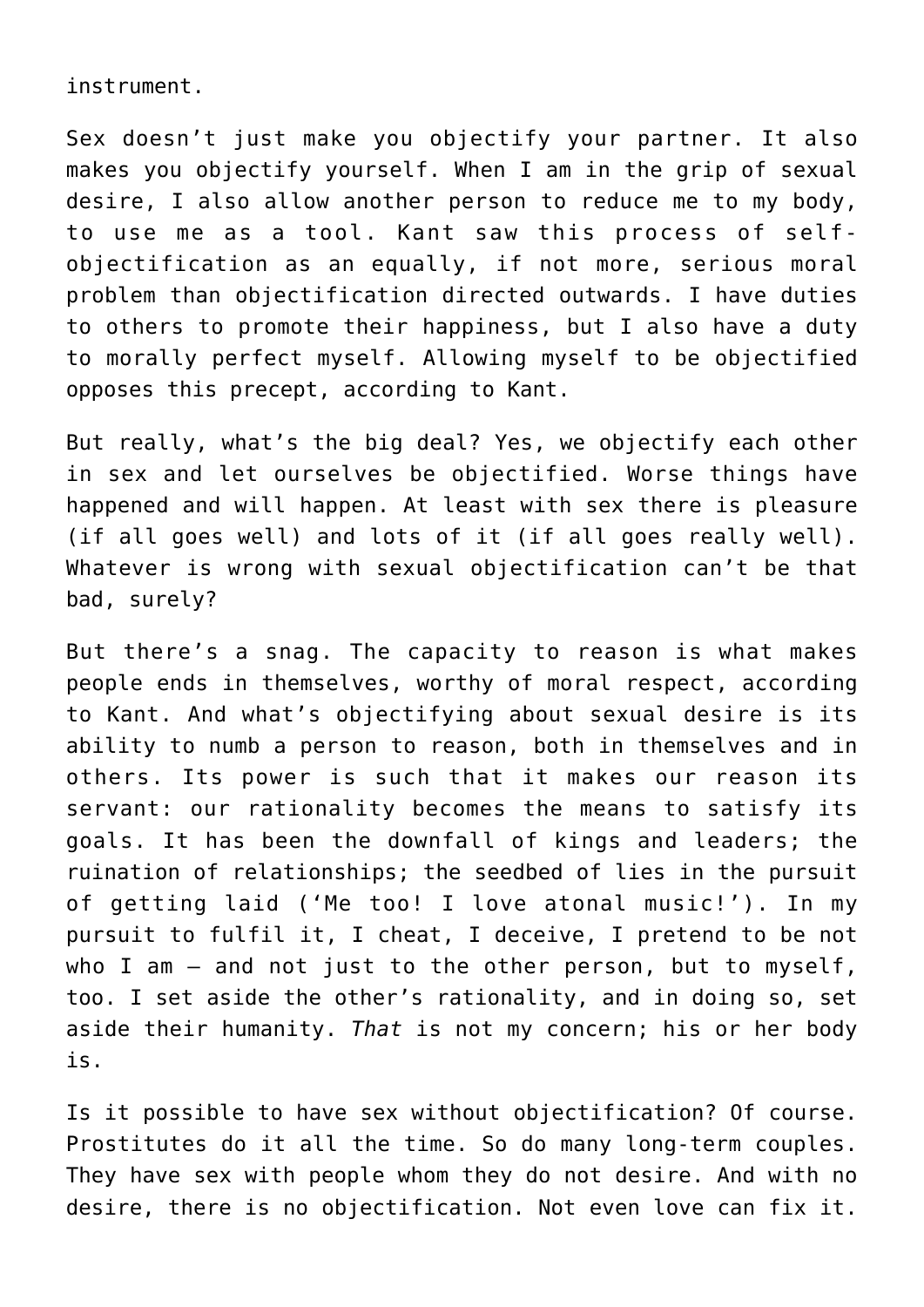instrument.

Sex doesn't just make you objectify your partner. It also makes you objectify yourself. When I am in the grip of sexual desire, I also allow another person to reduce me to my body, to use me as a tool. Kant saw this process of selfobjectification as an equally, if not more, serious moral problem than objectification directed outwards. I have duties to others to promote their happiness, but I also have a duty to morally perfect myself. Allowing myself to be objectified opposes this precept, according to Kant.

But really, what's the big deal? Yes, we objectify each other in sex and let ourselves be objectified. Worse things have happened and will happen. At least with sex there is pleasure (if all goes well) and lots of it (if all goes really well). Whatever is wrong with sexual objectification can't be that bad, surely?

But there's a snag. The capacity to reason is what makes people ends in themselves, worthy of moral respect, according to Kant. And what's objectifying about sexual desire is its ability to numb a person to reason, both in themselves and in others. Its power is such that it makes our reason its servant: our rationality becomes the means to satisfy its goals. It has been the downfall of kings and leaders; the ruination of relationships; the seedbed of lies in the pursuit of getting laid ('Me too! I love atonal music!'). In my pursuit to fulfil it, I cheat, I deceive, I pretend to be not who I am – and not just to the other person, but to myself, too. I set aside the other's rationality, and in doing so, set aside their humanity. *That* is not my concern; his or her body is.

Is it possible to have sex without objectification? Of course. Prostitutes do it all the time. So do many long-term couples. They have sex with people whom they do not desire. And with no desire, there is no objectification. Not even love can fix it.